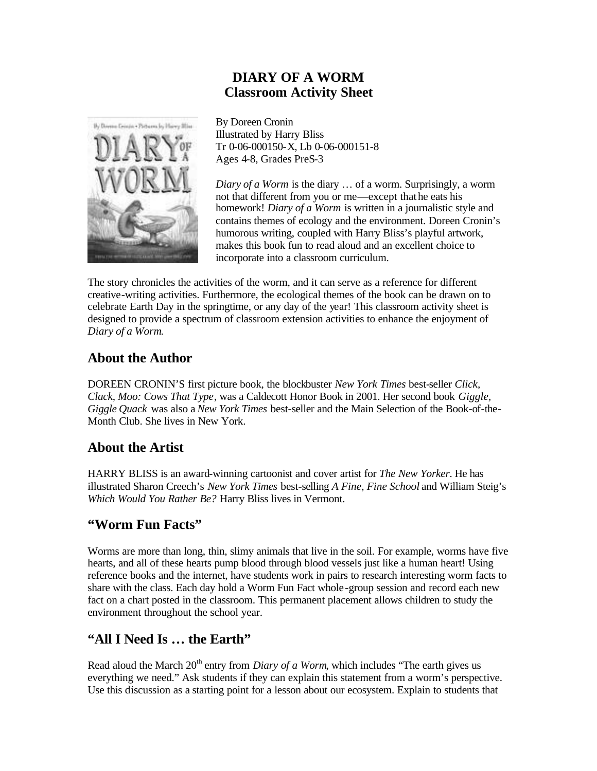#### **DIARY OF A WORM Classroom Activity Sheet**



By Doreen Cronin Illustrated by Harry Bliss Tr 0-06-000150-X, Lb 0-06-000151-8 Ages 4-8, Grades PreS-3

*Diary of a Worm* is the diary … of a worm. Surprisingly, a worm not that different from you or me—except that he eats his homework! *Diary of a Worm* is written in a journalistic style and contains themes of ecology and the environment. Doreen Cronin's humorous writing, coupled with Harry Bliss's playful artwork, makes this book fun to read aloud and an excellent choice to incorporate into a classroom curriculum.

The story chronicles the activities of the worm, and it can serve as a reference for different creative-writing activities. Furthermore, the ecological themes of the book can be drawn on to celebrate Earth Day in the springtime, or any day of the year! This classroom activity sheet is designed to provide a spectrum of classroom extension activities to enhance the enjoyment of *Diary of a Worm*.

#### **About the Author**

DOREEN CRONIN'S first picture book, the blockbuster *New York Times* best-seller *Click, Clack, Moo: Cows That Type*, was a Caldecott Honor Book in 2001. Her second book *Giggle, Giggle Quack* was also a *New York Times* best-seller and the Main Selection of the Book-of-the-Month Club. She lives in New York.

### **About the Artist**

HARRY BLISS is an award-winning cartoonist and cover artist for *The New Yorker*. He has illustrated Sharon Creech's *New York Times* best-selling *A Fine, Fine School* and William Steig's *Which Would You Rather Be?* Harry Bliss lives in Vermont.

### **"Worm Fun Facts"**

Worms are more than long, thin, slimy animals that live in the soil. For example, worms have five hearts, and all of these hearts pump blood through blood vessels just like a human heart! Using reference books and the internet, have students work in pairs to research interesting worm facts to share with the class. Each day hold a Worm Fun Fact whole -group session and record each new fact on a chart posted in the classroom. This permanent placement allows children to study the environment throughout the school year.

### **"All I Need Is … the Earth"**

Read aloud the March  $20<sup>th</sup>$  entry from *Diary of a Worm*, which includes "The earth gives us everything we need." Ask students if they can explain this statement from a worm's perspective. Use this discussion as a starting point for a lesson about our ecosystem. Explain to students that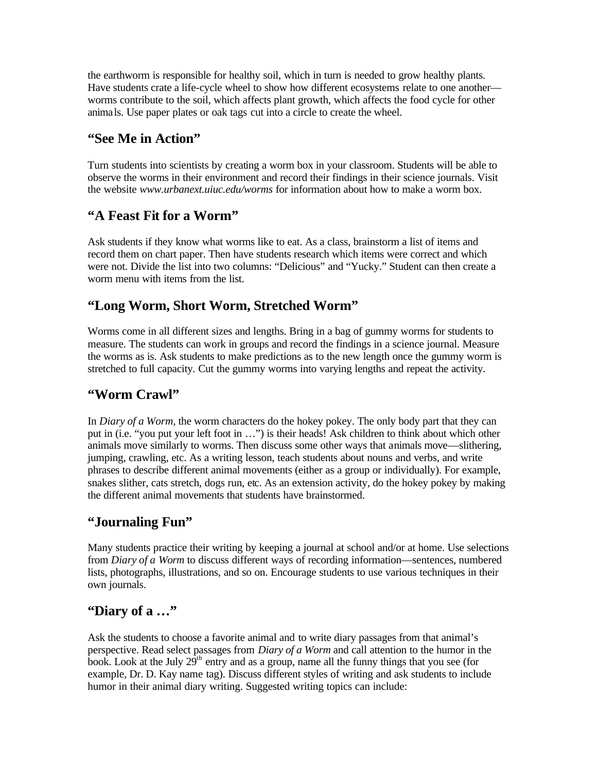the earthworm is responsible for healthy soil, which in turn is needed to grow healthy plants. Have students crate a life-cycle wheel to show how different ecosystems relate to one another worms contribute to the soil, which affects plant growth, which affects the food cycle for other animals. Use paper plates or oak tags cut into a circle to create the wheel.

### **"See Me in Action"**

Turn students into scientists by creating a worm box in your classroom. Students will be able to observe the worms in their environment and record their findings in their science journals. Visit the website *www.urbanext.uiuc.edu/worms* for information about how to make a worm box.

## **"A Feast Fit for a Worm"**

Ask students if they know what worms like to eat. As a class, brainstorm a list of items and record them on chart paper. Then have students research which items were correct and which were not. Divide the list into two columns: "Delicious" and "Yucky." Student can then create a worm menu with items from the list.

### **"Long Worm, Short Worm, Stretched Worm"**

Worms come in all different sizes and lengths. Bring in a bag of gummy worms for students to measure. The students can work in groups and record the findings in a science journal. Measure the worms as is. Ask students to make predictions as to the new length once the gummy worm is stretched to full capacity. Cut the gummy worms into varying lengths and repeat the activity.

# **"Worm Crawl"**

In *Diary of a Worm,* the worm characters do the hokey pokey. The only body part that they can put in (i.e. "you put your left foot in …") is their heads! Ask children to think about which other animals move similarly to worms. Then discuss some other ways that animals move—slithering, jumping, crawling, etc. As a writing lesson, teach students about nouns and verbs, and write phrases to describe different animal movements (either as a group or individually). For example, snakes slither, cats stretch, dogs run, etc. As an extension activity, do the hokey pokey by making the different animal movements that students have brainstormed.

### **"Journaling Fun"**

Many students practice their writing by keeping a journal at school and/or at home. Use selections from *Diary of a Worm* to discuss different ways of recording information—sentences, numbered lists, photographs, illustrations, and so on. Encourage students to use various techniques in their own journals.

### **"Diary of a …"**

Ask the students to choose a favorite animal and to write diary passages from that animal's perspective. Read select passages from *Diary of a Worm* and call attention to the humor in the book. Look at the July  $29<sup>th</sup>$  entry and as a group, name all the funny things that you see (for example, Dr. D. Kay name tag). Discuss different styles of writing and ask students to include humor in their animal diary writing. Suggested writing topics can include: